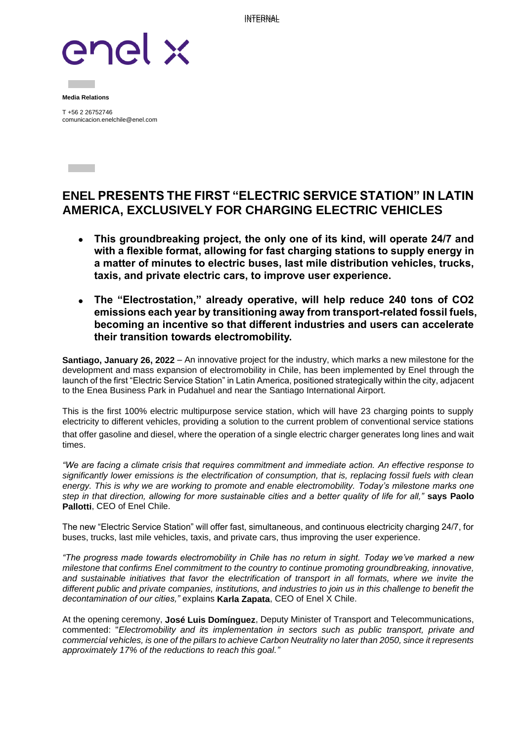INTERNAL



**Media Relations**

**Contract Contract** 

T +56 2 26752746 comunicacion.enelchile@enel.com

## **ENEL PRESENTS THE FIRST "ELECTRIC SERVICE STATION" IN LATIN AMERICA, EXCLUSIVELY FOR CHARGING ELECTRIC VEHICLES**

- **This groundbreaking project, the only one of its kind, will operate 24/7 and with a flexible format, allowing for fast charging stations to supply energy in a matter of minutes to electric buses, last mile distribution vehicles, trucks, taxis, and private electric cars, to improve user experience.**
- **The "Electrostation," already operative, will help reduce 240 tons of CO2 emissions each year by transitioning away from transport-related fossil fuels, becoming an incentive so that different industries and users can accelerate their transition towards electromobility.**

**Santiago, January 26, 2022** – An innovative project for the industry, which marks a new milestone for the development and mass expansion of electromobility in Chile, has been implemented by Enel through the launch of the first "Electric Service Station" in Latin America, positioned strategically within the city, adjacent to the Enea Business Park in Pudahuel and near the Santiago International Airport.

This is the first 100% electric multipurpose service station, which will have 23 charging points to supply electricity to different vehicles, providing a solution to the current problem of conventional service stations that offer gasoline and diesel, where the operation of a single electric charger generates long lines and wait times.

*"We are facing a climate crisis that requires commitment and immediate action. An effective response to significantly lower emissions is the electrification of consumption, that is, replacing fossil fuels with clean energy. This is why we are working to promote and enable electromobility. Today's milestone marks one step in that direction, allowing for more sustainable cities and a better quality of life for all,"* **says Paolo Pallotti**, CEO of Enel Chile.

The new "Electric Service Station" will offer fast, simultaneous, and continuous electricity charging 24/7, for buses, trucks, last mile vehicles, taxis, and private cars, thus improving the user experience.

*"The progress made towards electromobility in Chile has no return in sight. Today we've marked a new milestone that confirms Enel commitment to the country to continue promoting groundbreaking, innovative, and sustainable initiatives that favor the electrification of transport in all formats, where we invite the different public and private companies, institutions, and industries to join us in this challenge to benefit the decontamination of our cities,"* explains **Karla Zapata**, CEO of Enel X Chile.

At the opening ceremony, **José Luis Domínguez**, Deputy Minister of Transport and Telecommunications, commented: "*Electromobility and its implementation in sectors such as public transport, private and commercial vehicles, is one of the pillars to achieve Carbon Neutrality no later than 2050, since it represents approximately 17% of the reductions to reach this goal."*